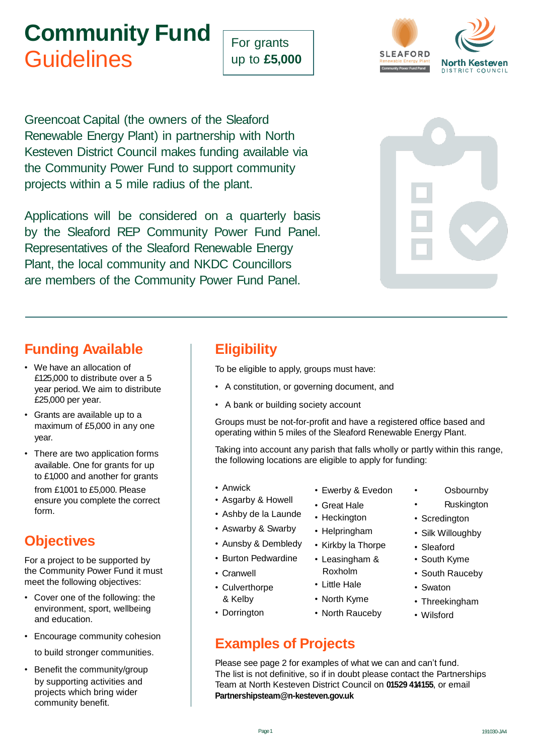# **Community Fund Guidelines**

For grants up to **£5,000**



Greencoat Capital (the owners of the Sleaford Renewable Energy Plant) in partnership with North Kesteven District Council makes funding available via the Community Power Fund to support community projects within a 5 mile radius of the plant.

Applications will be considered on a quarterly basis by the Sleaford REP Community Power Fund Panel. Representatives of the Sleaford Renewable Energy Plant, the local community and NKDC Councillors are members of the Community Power Fund Panel.



## **Funding Available**

- We have an allocation of £125,000 to distribute over a 5 year period. We aim to distribute £25,000 per year.
- Grants are available up to a maximum of £5,000 in any one year.
- There are two application forms available. One for grants for up to £1,000 and another for grants

from £1,001 to £5,000. Please ensure you complete the correct form.

## **Objectives**

For a project to be supported by the Community Power Fund it must meet the following objectives:

- Cover one of the following: the environment, sport, wellbeing and education.
- Encourage community cohesion

to build stronger communities.

• Benefit the community/group by supporting activities and projects which bring wider community benefit.

## **Eligibility**

To be eligible to apply, groups must have:

- A constitution, or governing document, and
- A bank or building society account

Groups must be not-for-profit and have a registered office based and operating within 5 miles of the Sleaford Renewable Energy Plant.

Taking into account any parish that falls wholly or partly within this range, the following locations are eligible to apply for funding:

- Anwick
- Asgarby & Howell
- Ashby de la Launde
- Aswarby & Swarby
- Aunsby & Dembledy
- Burton Pedwardine
- Cranwell
- Culverthorpe & Kelby
- Dorrington

## **Examples of Projects**

Please see page 2 for examples of what we can and can't fund. The list is not definitive, so if in doubt please contact the Partnerships Team at North [Kesteven District Counc](mailto:Partnershipsteam@n-kesteven.gov.uk)il on **01529 414155**, or email **[Partnershipsteam@n-kesteven.gov.uk](mailto:Partnershipsteam@n-kesteven.gov.uk)**

- Ewerby & Evedon
- Great Hale
- Heckington
- Helpringham
- Kirkby la Thorpe
- Leasingham &
- Roxholm • Little Hale
- North Kyme
- North Rauceby
- **Osbournby**
- **Ruskington**
- Scredington
- Silk Willoughby
- Sleaford
- South Kyme
- South Rauceby
- Swaton
- Threekingham
- Wilsford